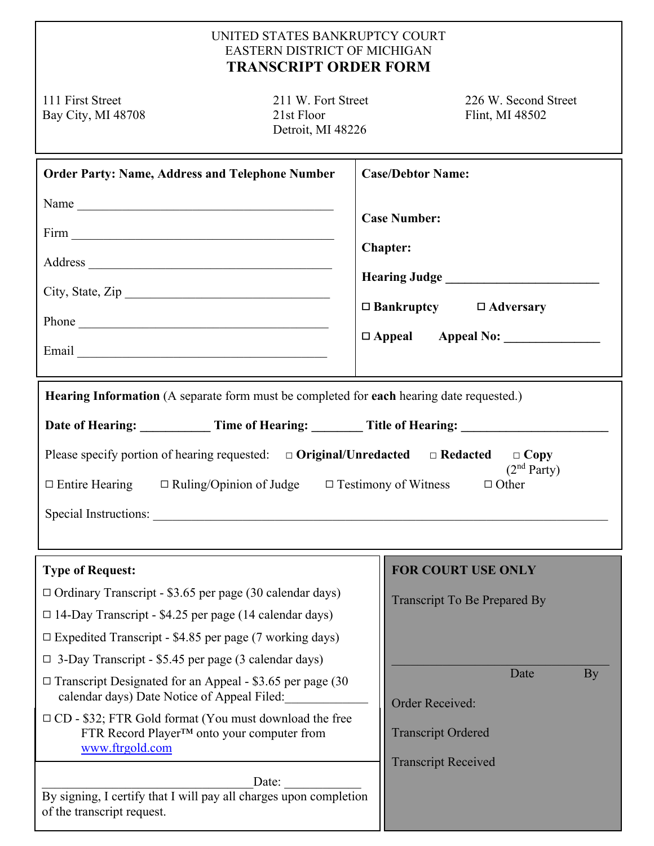## UNITED STATES BANKRUPTCY COURT EASTERN DISTRICT OF MICHIGAN **TRANSCRIPT ORDER FORM**

Bay City, MI 48708 21st Floor

Detroit, MI 48226

111 First Street 211 W. Fort Street 226 W. Second Street Bay City, MI 48708 21st Floor 21st Floor

| <b>Order Party: Name, Address and Telephone Number</b><br>Name<br>City, State, Zip                                                                                                                                                                                                                                                                                                                                                                                                                                                                                                                                                                            | <b>Case/Debtor Name:</b><br><b>Case Number:</b><br>Chapter:<br>$\Box$ Bankruptcy $\Box$ Adversary<br>$\Box$ Appeal Appeal No:                                |
|---------------------------------------------------------------------------------------------------------------------------------------------------------------------------------------------------------------------------------------------------------------------------------------------------------------------------------------------------------------------------------------------------------------------------------------------------------------------------------------------------------------------------------------------------------------------------------------------------------------------------------------------------------------|--------------------------------------------------------------------------------------------------------------------------------------------------------------|
| Hearing Information (A separate form must be completed for each hearing date requested.)<br>Date of Hearing: Time of Hearing: Title of Hearing: Title of Hearing:<br>Please specify portion of hearing requested: $\Box$ Original/Unredacted $\Box$ Redacted<br>$\Box$ Copy<br>(2 <sup>nd</sup> Party)<br>$\Box$ Entire Hearing $\Box$ Ruling/Opinion of Judge $\Box$ Testimony of Witness<br>$\Box$ Other                                                                                                                                                                                                                                                    |                                                                                                                                                              |
| <b>Type of Request:</b><br>$\Box$ Ordinary Transcript - \$3.65 per page (30 calendar days)<br>$\Box$ 14-Day Transcript - \$4.25 per page (14 calendar days)<br>$\Box$ Expedited Transcript - \$4.85 per page (7 working days)<br>$\Box$ 3-Day Transcript - \$5.45 per page (3 calendar days)<br>$\Box$ Transcript Designated for an Appeal - \$3.65 per page (30<br>calendar days) Date Notice of Appeal Filed:<br>$\Box$ CD - \$32; FTR Gold format (You must download the free<br>FTR Record Player™ onto your computer from<br>www.ftrgold.com<br>Date:<br>By signing, I certify that I will pay all charges upon completion<br>of the transcript request. | <b>FOR COURT USE ONLY</b><br><b>Transcript To Be Prepared By</b><br>Date<br>By<br>Order Received:<br><b>Transcript Ordered</b><br><b>Transcript Received</b> |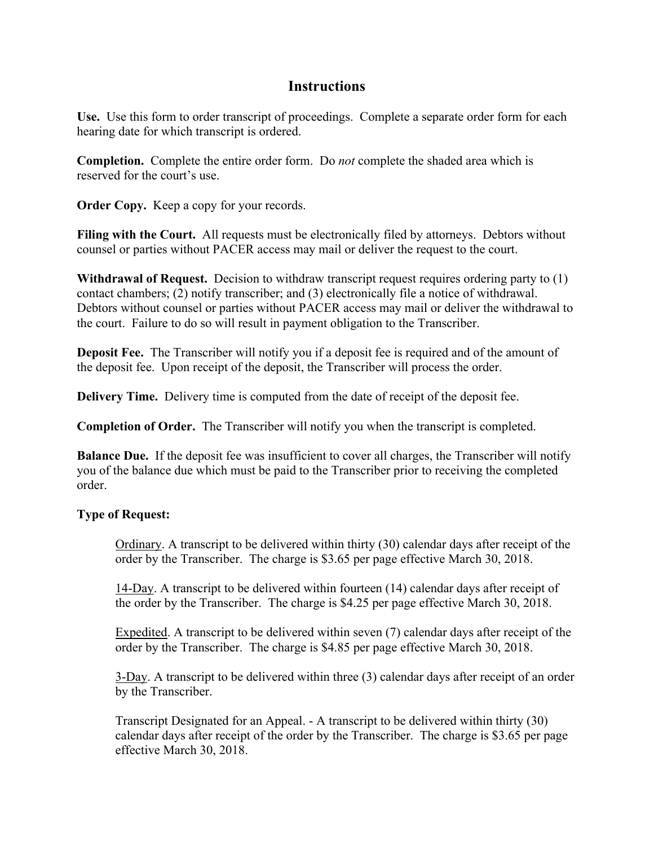## **Instructions**

**Use.** Use this form to order transcript of proceedings. Complete a separate order form for each hearing date for which transcript is ordered.

**Completion.** Complete the entire order form. Do *not* complete the shaded area which is reserved for the court's use.

**Order Copy.** Keep a copy for your records.

**Filing with the Court.** All requests must be electronically filed by attorneys. Debtors without counsel or parties without PACER access may mail or deliver the request to the court.

**Withdrawal of Request.** Decision to withdraw transcript request requires ordering party to (1) contact chambers; (2) notify transcriber; and (3) electronically file a notice of withdrawal. Debtors without counsel or parties without PACER access may mail or deliver the withdrawal to the court. Failure to do so will result in payment obligation to the Transcriber.

**Deposit Fee.** The Transcriber will notify you if a deposit fee is required and of the amount of the deposit fee. Upon receipt of the deposit, the Transcriber will process the order.

**Delivery Time.** Delivery time is computed from the date of receipt of the deposit fee.

**Completion of Order.** The Transcriber will notify you when the transcript is completed.

**Balance Due.** If the deposit fee was insufficient to cover all charges, the Transcriber will notify you of the balance due which must be paid to the Transcriber prior to receiving the completed order.

## **Type of Request:**

Ordinary. A transcript to be delivered within thirty (30) calendar days after receipt of the order by the Transcriber. The charge is \$3.65 per page effective March 30, 2018.

14-Day. A transcript to be delivered within fourteen (14) calendar days after receipt of the order by the Transcriber. The charge is \$4.25 per page effective March 30, 2018.

Expedited. A transcript to be delivered within seven (7) calendar days after receipt of the order by the Transcriber. The charge is \$4.85 per page effective March 30, 2018.

3-Day. A transcript to be delivered within three (3) calendar days after receipt of an order by the Transcriber.

 Transcript Designated for an Appeal. - A transcript to be delivered within thirty (30) calendar days after receipt of the order by the Transcriber. The charge is \$3.65 per page effective March 30, 2018.